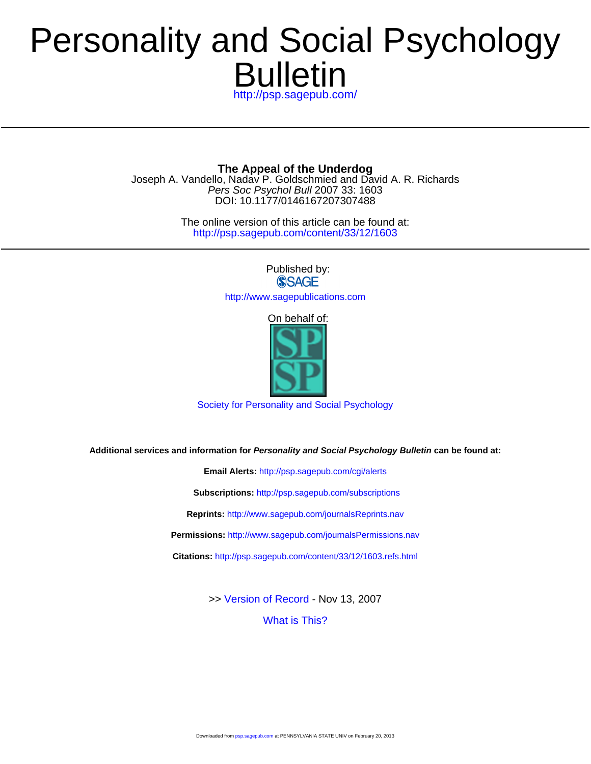# Bulletin Personality and Social Psychology

<http://psp.sagepub.com/>

DOI: 10.1177/0146167207307488 Pers Soc Psychol Bull 2007 33: 1603 Joseph A. Vandello, Nadav P. Goldschmied and David A. R. Richards **The Appeal of the Underdog**

> <http://psp.sagepub.com/content/33/12/1603> The online version of this article can be found at:

> > Published by:<br>
> > SAGE <http://www.sagepublications.com>

> > > On behalf of:



[Society for Personality and Social Psychology](http://www.spsp.org/)

**Additional services and information for Personality and Social Psychology Bulletin can be found at:**

**Email Alerts:** <http://psp.sagepub.com/cgi/alerts> **Subscriptions:** <http://psp.sagepub.com/subscriptions> **Reprints:** <http://www.sagepub.com/journalsReprints.nav> **Permissions:** <http://www.sagepub.com/journalsPermissions.nav> **Citations:** <http://psp.sagepub.com/content/33/12/1603.refs.html>

>> [Version of Record -](http://psp.sagepub.com/content/33/12/1603.full.pdf) Nov 13, 2007

[What is This?](http://online.sagepub.com/site/sphelp/vorhelp.xhtml)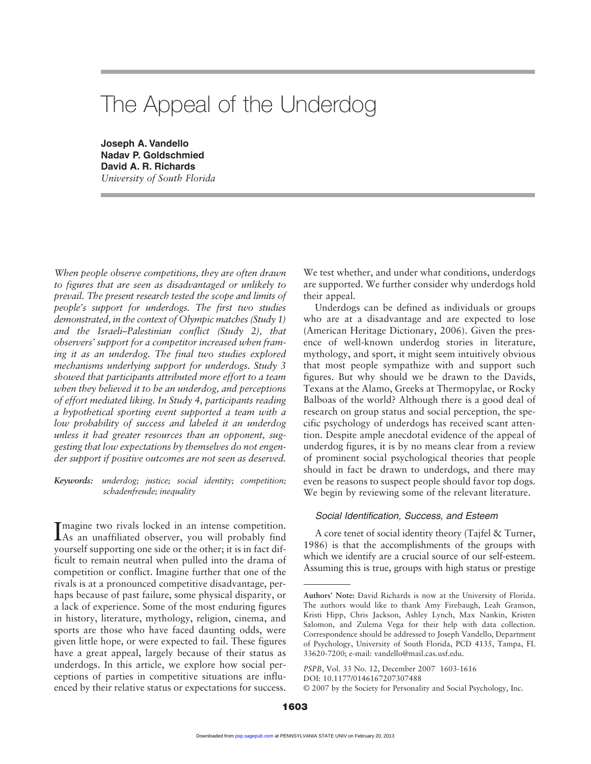# The Appeal of the Underdog

**Joseph A. Vandello Nadav P. Goldschmied David A. R. Richards** *University of South Florida*

*When people observe competitions, they are often drawn to figures that are seen as disadvantaged or unlikely to prevail. The present research tested the scope and limits of people's support for underdogs. The first two studies demonstrated, in the context of Olympic matches (Study 1) and the Israeli–Palestinian conflict (Study 2), that observers' support for a competitor increased when framing it as an underdog. The final two studies explored mechanisms underlying support for underdogs. Study 3 showed that participants attributed more effort to a team when they believed it to be an underdog, and perceptions of effort mediated liking. In Study 4, participants reading a hypothetical sporting event supported a team with a low probability of success and labeled it an underdog unless it had greater resources than an opponent, suggesting that low expectations by themselves do not engender support if positive outcomes are not seen as deserved.*

*Keywords: underdog; justice; social identity; competition; schadenfreude; inequality*

Imagine two rivals locked in an intense competition.<br>As an unaffiliated observer, you will probably find magine two rivals locked in an intense competition. yourself supporting one side or the other; it is in fact difficult to remain neutral when pulled into the drama of competition or conflict. Imagine further that one of the rivals is at a pronounced competitive disadvantage, perhaps because of past failure, some physical disparity, or a lack of experience. Some of the most enduring figures in history, literature, mythology, religion, cinema, and sports are those who have faced daunting odds, were given little hope, or were expected to fail. These figures have a great appeal, largely because of their status as underdogs. In this article, we explore how social perceptions of parties in competitive situations are influenced by their relative status or expectations for success.

We test whether, and under what conditions, underdogs are supported. We further consider why underdogs hold their appeal.

Underdogs can be defined as individuals or groups who are at a disadvantage and are expected to lose (American Heritage Dictionary, 2006). Given the presence of well-known underdog stories in literature, mythology, and sport, it might seem intuitively obvious that most people sympathize with and support such figures. But why should we be drawn to the Davids, Texans at the Alamo, Greeks at Thermopylae, or Rocky Balboas of the world? Although there is a good deal of research on group status and social perception, the specific psychology of underdogs has received scant attention. Despite ample anecdotal evidence of the appeal of underdog figures, it is by no means clear from a review of prominent social psychological theories that people should in fact be drawn to underdogs, and there may even be reasons to suspect people should favor top dogs. We begin by reviewing some of the relevant literature.

#### Social Identification, Success, and Esteem

A core tenet of social identity theory (Tajfel & Turner, 1986) is that the accomplishments of the groups with which we identify are a crucial source of our self-esteem. Assuming this is true, groups with high status or prestige

**Authors' Note:** David Richards is now at the University of Florida. The authors would like to thank Amy Firebaugh, Leah Granson, Kristi Hipp, Chris Jackson, Ashley Lynch, Max Nankin, Kristen Salomon, and Zulema Vega for their help with data collection. Correspondence should be addressed to Joseph Vandello, Department of Psychology, University of South Florida, PCD 4135, Tampa, FL 33620-7200; e-mail: vandello@mail.cas.usf.edu.

*PSPB*, Vol. 33 No. 12, December 2007 1603-1616

DOI: 10.1177/0146167207307488

<sup>© 2007</sup> by the Society for Personality and Social Psychology, Inc.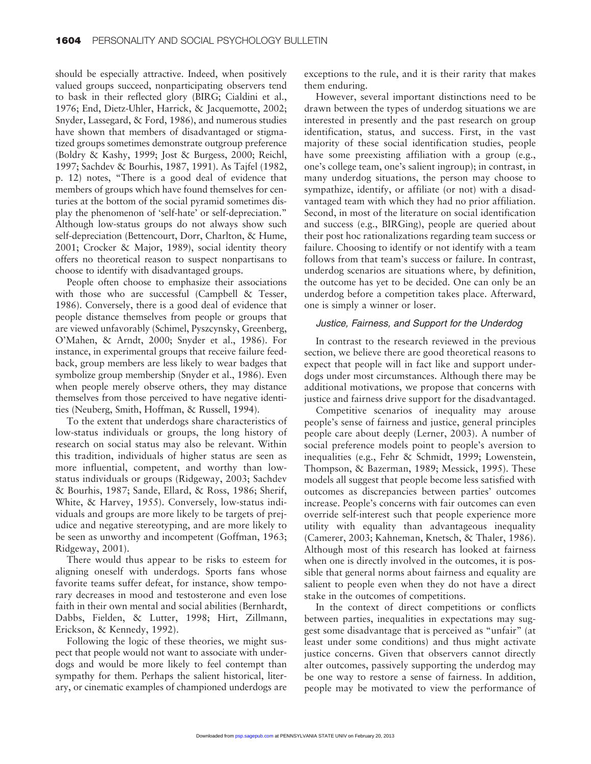should be especially attractive. Indeed, when positively valued groups succeed, nonparticipating observers tend to bask in their reflected glory (BIRG; Cialdini et al., 1976; End, Dietz-Uhler, Harrick, & Jacquemotte, 2002; Snyder, Lassegard, & Ford, 1986), and numerous studies have shown that members of disadvantaged or stigmatized groups sometimes demonstrate outgroup preference (Boldry & Kashy, 1999; Jost & Burgess, 2000; Reichl, 1997; Sachdev & Bourhis, 1987, 1991). As Tajfel (1982, p. 12) notes, "There is a good deal of evidence that members of groups which have found themselves for centuries at the bottom of the social pyramid sometimes display the phenomenon of 'self-hate' or self-depreciation." Although low-status groups do not always show such self-depreciation (Bettencourt, Dorr, Charlton, & Hume, 2001; Crocker & Major, 1989), social identity theory offers no theoretical reason to suspect nonpartisans to choose to identify with disadvantaged groups.

People often choose to emphasize their associations with those who are successful (Campbell & Tesser, 1986). Conversely, there is a good deal of evidence that people distance themselves from people or groups that are viewed unfavorably (Schimel, Pyszcynsky, Greenberg, O'Mahen, & Arndt, 2000; Snyder et al., 1986). For instance, in experimental groups that receive failure feedback, group members are less likely to wear badges that symbolize group membership (Snyder et al., 1986). Even when people merely observe others, they may distance themselves from those perceived to have negative identities (Neuberg, Smith, Hoffman, & Russell, 1994).

To the extent that underdogs share characteristics of low-status individuals or groups, the long history of research on social status may also be relevant. Within this tradition, individuals of higher status are seen as more influential, competent, and worthy than lowstatus individuals or groups (Ridgeway, 2003; Sachdev & Bourhis, 1987; Sande, Ellard, & Ross, 1986; Sherif, White, & Harvey, 1955). Conversely, low-status individuals and groups are more likely to be targets of prejudice and negative stereotyping, and are more likely to be seen as unworthy and incompetent (Goffman, 1963; Ridgeway, 2001).

There would thus appear to be risks to esteem for aligning oneself with underdogs. Sports fans whose favorite teams suffer defeat, for instance, show temporary decreases in mood and testosterone and even lose faith in their own mental and social abilities (Bernhardt, Dabbs, Fielden, & Lutter, 1998; Hirt, Zillmann, Erickson, & Kennedy, 1992).

Following the logic of these theories, we might suspect that people would not want to associate with underdogs and would be more likely to feel contempt than sympathy for them. Perhaps the salient historical, literary, or cinematic examples of championed underdogs are exceptions to the rule, and it is their rarity that makes them enduring.

However, several important distinctions need to be drawn between the types of underdog situations we are interested in presently and the past research on group identification, status, and success. First, in the vast majority of these social identification studies, people have some preexisting affiliation with a group (e.g., one's college team, one's salient ingroup); in contrast, in many underdog situations, the person may choose to sympathize, identify, or affiliate (or not) with a disadvantaged team with which they had no prior affiliation. Second, in most of the literature on social identification and success (e.g., BIRGing), people are queried about their post hoc rationalizations regarding team success or failure. Choosing to identify or not identify with a team follows from that team's success or failure. In contrast, underdog scenarios are situations where, by definition, the outcome has yet to be decided. One can only be an underdog before a competition takes place. Afterward, one is simply a winner or loser.

# Justice, Fairness, and Support for the Underdog

In contrast to the research reviewed in the previous section, we believe there are good theoretical reasons to expect that people will in fact like and support underdogs under most circumstances. Although there may be additional motivations, we propose that concerns with justice and fairness drive support for the disadvantaged.

Competitive scenarios of inequality may arouse people's sense of fairness and justice, general principles people care about deeply (Lerner, 2003). A number of social preference models point to people's aversion to inequalities (e.g., Fehr & Schmidt, 1999; Lowenstein, Thompson, & Bazerman, 1989; Messick, 1995). These models all suggest that people become less satisfied with outcomes as discrepancies between parties' outcomes increase. People's concerns with fair outcomes can even override self-interest such that people experience more utility with equality than advantageous inequality (Camerer, 2003; Kahneman, Knetsch, & Thaler, 1986). Although most of this research has looked at fairness when one is directly involved in the outcomes, it is possible that general norms about fairness and equality are salient to people even when they do not have a direct stake in the outcomes of competitions.

In the context of direct competitions or conflicts between parties, inequalities in expectations may suggest some disadvantage that is perceived as "unfair" (at least under some conditions) and thus might activate justice concerns. Given that observers cannot directly alter outcomes, passively supporting the underdog may be one way to restore a sense of fairness. In addition, people may be motivated to view the performance of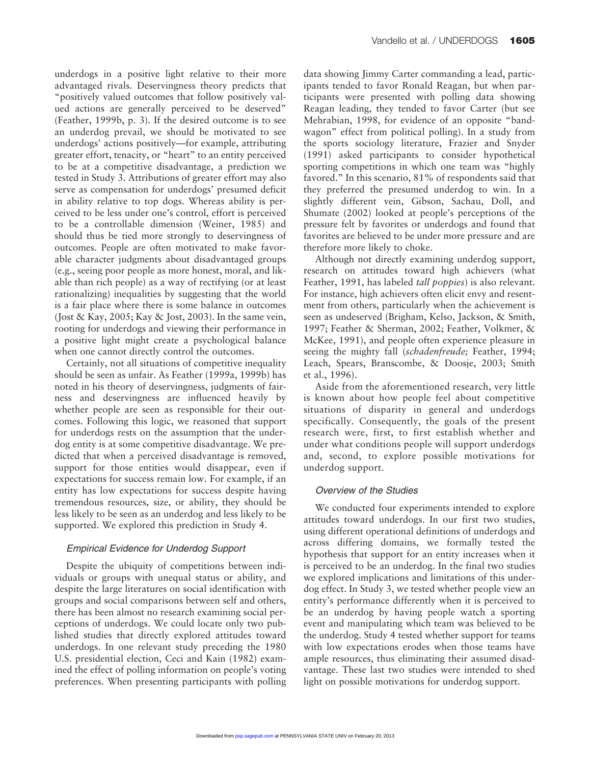underdogs in a positive light relative to their more advantaged rivals. Deservingness theory predicts that "positively valued outcomes that follow positively valued actions are generally perceived to be deserved" (Feather, 1999b, p. 3). If the desired outcome is to see an underdog prevail, we should be motivated to see underdogs' actions positively—for example, attributing greater effort, tenacity, or "heart" to an entity perceived to be at a competitive disadvantage, a prediction we tested in Study 3. Attributions of greater effort may also serve as compensation for underdogs' presumed deficit in ability relative to top dogs. Whereas ability is perceived to be less under one's control, effort is perceived to be a controllable dimension (Weiner, 1985) and should thus be tied more strongly to deservingness of outcomes. People are often motivated to make favorable character judgments about disadvantaged groups (e.g., seeing poor people as more honest, moral, and likable than rich people) as a way of rectifying (or at least rationalizing) inequalities by suggesting that the world is a fair place where there is some balance in outcomes (Jost & Kay, 2005; Kay & Jost, 2003). In the same vein, rooting for underdogs and viewing their performance in a positive light might create a psychological balance when one cannot directly control the outcomes.

Certainly, not all situations of competitive inequality should be seen as unfair. As Feather (1999a, 1999b) has noted in his theory of deservingness, judgments of fairness and deservingness are influenced heavily by whether people are seen as responsible for their outcomes. Following this logic, we reasoned that support for underdogs rests on the assumption that the underdog entity is at some competitive disadvantage. We predicted that when a perceived disadvantage is removed, support for those entities would disappear, even if expectations for success remain low. For example, if an entity has low expectations for success despite having tremendous resources, size, or ability, they should be less likely to be seen as an underdog and less likely to be supported. We explored this prediction in Study 4.

# Empirical Evidence for Underdog Support

Despite the ubiquity of competitions between individuals or groups with unequal status or ability, and despite the large literatures on social identification with groups and social comparisons between self and others, there has been almost no research examining social perceptions of underdogs. We could locate only two published studies that directly explored attitudes toward underdogs. In one relevant study preceding the 1980 U.S. presidential election, Ceci and Kain (1982) examined the effect of polling information on people's voting preferences. When presenting participants with polling data showing Jimmy Carter commanding a lead, participants tended to favor Ronald Reagan, but when participants were presented with polling data showing Reagan leading, they tended to favor Carter (but see Mehrabian, 1998, for evidence of an opposite "bandwagon" effect from political polling). In a study from the sports sociology literature, Frazier and Snyder (1991) asked participants to consider hypothetical sporting competitions in which one team was "highly favored." In this scenario, 81% of respondents said that they preferred the presumed underdog to win. In a slightly different vein, Gibson, Sachau, Doll, and Shumate (2002) looked at people's perceptions of the pressure felt by favorites or underdogs and found that favorites are believed to be under more pressure and are therefore more likely to choke.

Although not directly examining underdog support, research on attitudes toward high achievers (what Feather, 1991, has labeled *tall poppies*) is also relevant. For instance, high achievers often elicit envy and resentment from others, particularly when the achievement is seen as undeserved (Brigham, Kelso, Jackson, & Smith, 1997; Feather & Sherman, 2002; Feather, Volkmer, & McKee, 1991), and people often experience pleasure in seeing the mighty fall (*schadenfreude;* Feather, 1994; Leach, Spears, Branscombe, & Doosje, 2003; Smith et al., 1996).

Aside from the aforementioned research, very little is known about how people feel about competitive situations of disparity in general and underdogs specifically. Consequently, the goals of the present research were, first, to first establish whether and under what conditions people will support underdogs and, second, to explore possible motivations for underdog support.

# Overview of the Studies

We conducted four experiments intended to explore attitudes toward underdogs. In our first two studies, using different operational definitions of underdogs and across differing domains, we formally tested the hypothesis that support for an entity increases when it is perceived to be an underdog. In the final two studies we explored implications and limitations of this underdog effect. In Study 3, we tested whether people view an entity's performance differently when it is perceived to be an underdog by having people watch a sporting event and manipulating which team was believed to be the underdog. Study 4 tested whether support for teams with low expectations erodes when those teams have ample resources, thus eliminating their assumed disadvantage. These last two studies were intended to shed light on possible motivations for underdog support.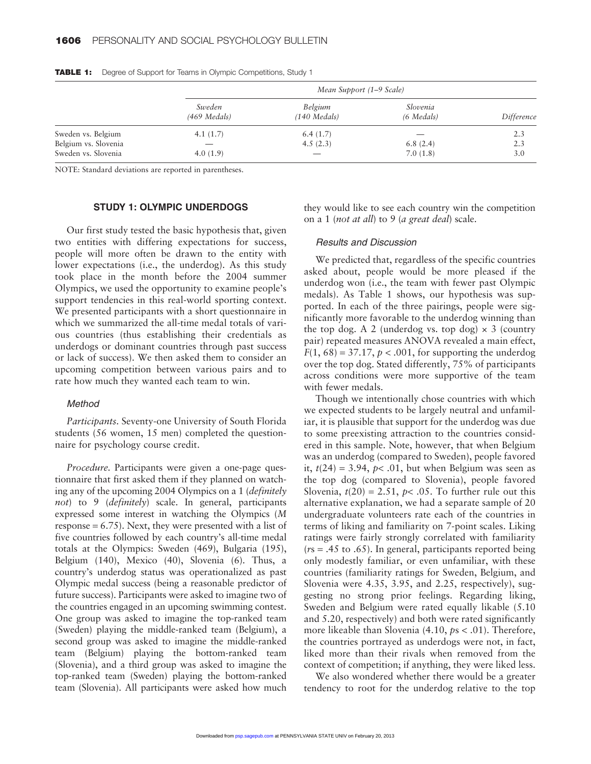|                                             | Mean Support (1–9 Scale) |                           |                          |            |  |
|---------------------------------------------|--------------------------|---------------------------|--------------------------|------------|--|
|                                             | Sweden<br>$(469$ Medals) | Belgium<br>$(140$ Medals) | Slovenia<br>$(6$ Medals) | Difference |  |
| Sweden vs. Belgium                          | 4.1 $(1.7)$              | 6.4(1.7)                  |                          | 2.3        |  |
| Belgium vs. Slovenia<br>Sweden vs. Slovenia | 4.0(1.9)                 | 4.5(2.3)                  | 6.8(2.4)<br>7.0(1.8)     | 2.3<br>3.0 |  |

**TABLE 1:** Degree of Support for Teams in Olympic Competitions, Study 1

NOTE: Standard deviations are reported in parentheses.

# **STUDY 1: OLYMPIC UNDERDOGS**

Our first study tested the basic hypothesis that, given two entities with differing expectations for success, people will more often be drawn to the entity with lower expectations (i.e., the underdog). As this study took place in the month before the 2004 summer Olympics, we used the opportunity to examine people's support tendencies in this real-world sporting context. We presented participants with a short questionnaire in which we summarized the all-time medal totals of various countries (thus establishing their credentials as underdogs or dominant countries through past success or lack of success). We then asked them to consider an upcoming competition between various pairs and to rate how much they wanted each team to win.

#### Method

*Participants.* Seventy-one University of South Florida students (56 women, 15 men) completed the questionnaire for psychology course credit.

*Procedure.* Participants were given a one-page questionnaire that first asked them if they planned on watching any of the upcoming 2004 Olympics on a 1 (*definitely not*) to 9 (*definitely*) scale. In general, participants expressed some interest in watching the Olympics (*M* response = 6.75). Next, they were presented with a list of five countries followed by each country's all-time medal totals at the Olympics: Sweden (469), Bulgaria (195), Belgium (140), Mexico (40), Slovenia (6). Thus, a country's underdog status was operationalized as past Olympic medal success (being a reasonable predictor of future success). Participants were asked to imagine two of the countries engaged in an upcoming swimming contest. One group was asked to imagine the top-ranked team (Sweden) playing the middle-ranked team (Belgium), a second group was asked to imagine the middle-ranked team (Belgium) playing the bottom-ranked team (Slovenia), and a third group was asked to imagine the top-ranked team (Sweden) playing the bottom-ranked team (Slovenia). All participants were asked how much

they would like to see each country win the competition on a 1 (*not at all*) to 9 (*a great deal*) scale.

#### Results and Discussion

We predicted that, regardless of the specific countries asked about, people would be more pleased if the underdog won (i.e., the team with fewer past Olympic medals). As Table 1 shows, our hypothesis was supported. In each of the three pairings, people were significantly more favorable to the underdog winning than the top dog. A 2 (underdog vs. top dog)  $\times$  3 (country pair) repeated measures ANOVA revealed a main effect,  $F(1, 68) = 37.17$ ,  $p < .001$ , for supporting the underdog over the top dog. Stated differently, 75% of participants across conditions were more supportive of the team with fewer medals.

Though we intentionally chose countries with which we expected students to be largely neutral and unfamiliar, it is plausible that support for the underdog was due to some preexisting attraction to the countries considered in this sample. Note, however, that when Belgium was an underdog (compared to Sweden), people favored it,  $t(24) = 3.94$ ,  $p < .01$ , but when Belgium was seen as the top dog (compared to Slovenia), people favored Slovenia,  $t(20) = 2.51$ ,  $p < .05$ . To further rule out this alternative explanation, we had a separate sample of 20 undergraduate volunteers rate each of the countries in terms of liking and familiarity on 7-point scales. Liking ratings were fairly strongly correlated with familiarity (*r*s = .45 to .65). In general, participants reported being only modestly familiar, or even unfamiliar, with these countries (familiarity ratings for Sweden, Belgium, and Slovenia were 4.35, 3.95, and 2.25, respectively), suggesting no strong prior feelings. Regarding liking, Sweden and Belgium were rated equally likable (5.10 and 5.20, respectively) and both were rated significantly more likeable than Slovenia (4.10, *p*s < .01). Therefore, the countries portrayed as underdogs were not, in fact, liked more than their rivals when removed from the context of competition; if anything, they were liked less.

We also wondered whether there would be a greater tendency to root for the underdog relative to the top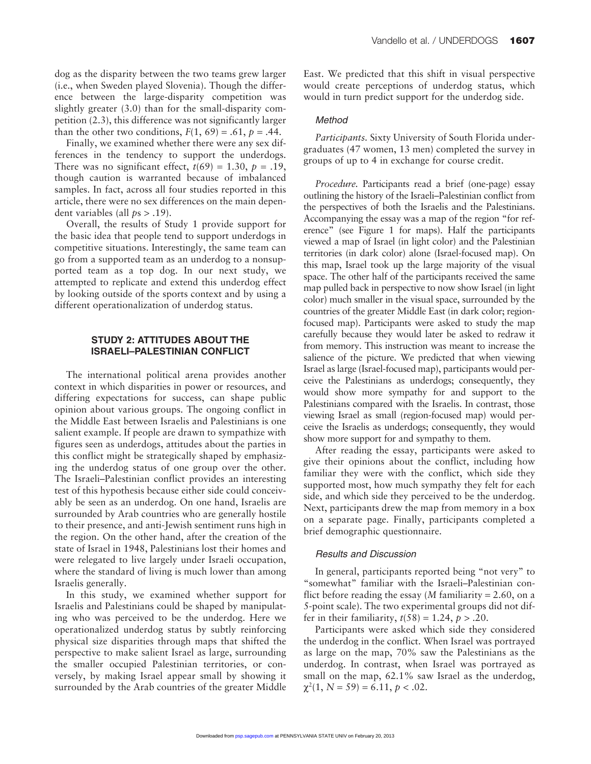dog as the disparity between the two teams grew larger (i.e., when Sweden played Slovenia). Though the difference between the large-disparity competition was slightly greater (3.0) than for the small-disparity competition (2.3), this difference was not significantly larger than the other two conditions,  $F(1, 69) = .61$ ,  $p = .44$ .

Finally, we examined whether there were any sex differences in the tendency to support the underdogs. There was no significant effect,  $t(69) = 1.30$ ,  $p = .19$ , though caution is warranted because of imbalanced samples. In fact, across all four studies reported in this article, there were no sex differences on the main dependent variables (all *p*s > .19).

Overall, the results of Study 1 provide support for the basic idea that people tend to support underdogs in competitive situations. Interestingly, the same team can go from a supported team as an underdog to a nonsupported team as a top dog. In our next study, we attempted to replicate and extend this underdog effect by looking outside of the sports context and by using a different operationalization of underdog status.

# **STUDY 2: ATTITUDES ABOUT THE ISRAELI–PALESTINIAN CONFLICT**

The international political arena provides another context in which disparities in power or resources, and differing expectations for success, can shape public opinion about various groups. The ongoing conflict in the Middle East between Israelis and Palestinians is one salient example. If people are drawn to sympathize with figures seen as underdogs, attitudes about the parties in this conflict might be strategically shaped by emphasizing the underdog status of one group over the other. The Israeli–Palestinian conflict provides an interesting test of this hypothesis because either side could conceivably be seen as an underdog. On one hand, Israelis are surrounded by Arab countries who are generally hostile to their presence, and anti-Jewish sentiment runs high in the region. On the other hand, after the creation of the state of Israel in 1948, Palestinians lost their homes and were relegated to live largely under Israeli occupation, where the standard of living is much lower than among Israelis generally.

In this study, we examined whether support for Israelis and Palestinians could be shaped by manipulating who was perceived to be the underdog. Here we operationalized underdog status by subtly reinforcing physical size disparities through maps that shifted the perspective to make salient Israel as large, surrounding the smaller occupied Palestinian territories, or conversely, by making Israel appear small by showing it surrounded by the Arab countries of the greater Middle East. We predicted that this shift in visual perspective would create perceptions of underdog status, which would in turn predict support for the underdog side.

### Method

*Participants.* Sixty University of South Florida undergraduates (47 women, 13 men) completed the survey in groups of up to 4 in exchange for course credit.

*Procedure.* Participants read a brief (one-page) essay outlining the history of the Israeli–Palestinian conflict from the perspectives of both the Israelis and the Palestinians. Accompanying the essay was a map of the region "for reference" (see Figure 1 for maps). Half the participants viewed a map of Israel (in light color) and the Palestinian territories (in dark color) alone (Israel-focused map). On this map, Israel took up the large majority of the visual space. The other half of the participants received the same map pulled back in perspective to now show Israel (in light color) much smaller in the visual space, surrounded by the countries of the greater Middle East (in dark color; regionfocused map). Participants were asked to study the map carefully because they would later be asked to redraw it from memory. This instruction was meant to increase the salience of the picture. We predicted that when viewing Israel as large (Israel-focused map), participants would perceive the Palestinians as underdogs; consequently, they would show more sympathy for and support to the Palestinians compared with the Israelis. In contrast, those viewing Israel as small (region-focused map) would perceive the Israelis as underdogs; consequently, they would show more support for and sympathy to them.

After reading the essay, participants were asked to give their opinions about the conflict, including how familiar they were with the conflict, which side they supported most, how much sympathy they felt for each side, and which side they perceived to be the underdog. Next, participants drew the map from memory in a box on a separate page. Finally, participants completed a brief demographic questionnaire.

#### Results and Discussion

In general, participants reported being "not very" to "somewhat" familiar with the Israeli–Palestinian conflict before reading the essay (*M* familiarity = 2.60, on a 5-point scale). The two experimental groups did not differ in their familiarity,  $t(58) = 1.24$ ,  $p > .20$ .

Participants were asked which side they considered the underdog in the conflict. When Israel was portrayed as large on the map, 70% saw the Palestinians as the underdog. In contrast, when Israel was portrayed as small on the map, 62.1% saw Israel as the underdog,  $\chi^2(1, N = 59) = 6.11, p < .02.$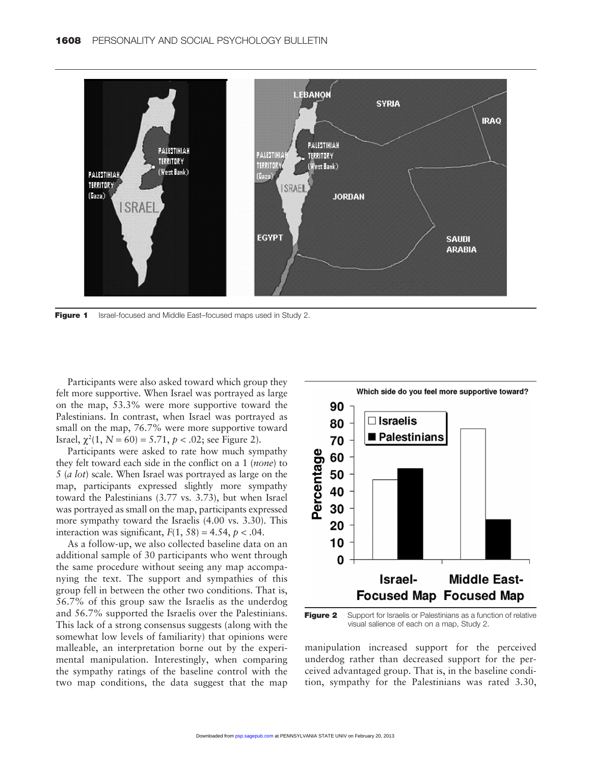

**Figure 1** Israel-focused and Middle East-focused maps used in Study 2.

Participants were also asked toward which group they felt more supportive. When Israel was portrayed as large on the map, 53.3% were more supportive toward the Palestinians. In contrast, when Israel was portrayed as small on the map, 76.7% were more supportive toward Israel,  $\chi^2(1, N = 60) = 5.71, p < .02$ ; see Figure 2).

Participants were asked to rate how much sympathy they felt toward each side in the conflict on a 1 (*none*) to 5 (*a lot*) scale. When Israel was portrayed as large on the map, participants expressed slightly more sympathy toward the Palestinians (3.77 vs. 3.73), but when Israel was portrayed as small on the map, participants expressed more sympathy toward the Israelis (4.00 vs. 3.30). This interaction was significant,  $F(1, 58) = 4.54$ ,  $p < .04$ .

As a follow-up, we also collected baseline data on an additional sample of 30 participants who went through the same procedure without seeing any map accompanying the text. The support and sympathies of this group fell in between the other two conditions. That is, 56.7% of this group saw the Israelis as the underdog and 56.7% supported the Israelis over the Palestinians. This lack of a strong consensus suggests (along with the somewhat low levels of familiarity) that opinions were malleable, an interpretation borne out by the experimental manipulation. Interestingly, when comparing the sympathy ratings of the baseline control with the two map conditions, the data suggest that the map



**Figure 2** Support for Israelis or Palestinians as a function of relative visual salience of each on a map, Study 2.

manipulation increased support for the perceived underdog rather than decreased support for the perceived advantaged group. That is, in the baseline condition, sympathy for the Palestinians was rated 3.30,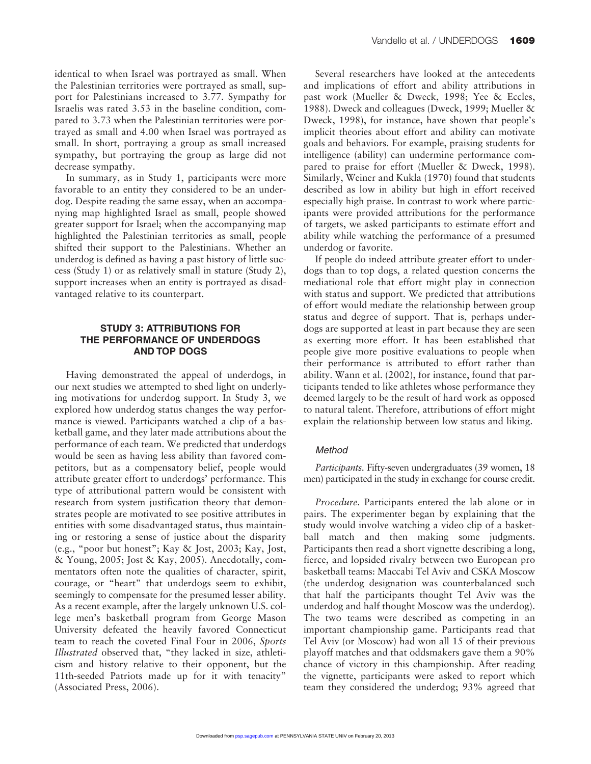identical to when Israel was portrayed as small. When the Palestinian territories were portrayed as small, support for Palestinians increased to 3.77. Sympathy for Israelis was rated 3.53 in the baseline condition, compared to 3.73 when the Palestinian territories were portrayed as small and 4.00 when Israel was portrayed as small. In short, portraying a group as small increased sympathy, but portraying the group as large did not decrease sympathy.

In summary, as in Study 1, participants were more favorable to an entity they considered to be an underdog. Despite reading the same essay, when an accompanying map highlighted Israel as small, people showed greater support for Israel; when the accompanying map highlighted the Palestinian territories as small, people shifted their support to the Palestinians. Whether an underdog is defined as having a past history of little success (Study 1) or as relatively small in stature (Study 2), support increases when an entity is portrayed as disadvantaged relative to its counterpart.

# **STUDY 3: ATTRIBUTIONS FOR THE PERFORMANCE OF UNDERDOGS AND TOP DOGS**

Having demonstrated the appeal of underdogs, in our next studies we attempted to shed light on underlying motivations for underdog support. In Study 3, we explored how underdog status changes the way performance is viewed. Participants watched a clip of a basketball game, and they later made attributions about the performance of each team. We predicted that underdogs would be seen as having less ability than favored competitors, but as a compensatory belief, people would attribute greater effort to underdogs' performance. This type of attributional pattern would be consistent with research from system justification theory that demonstrates people are motivated to see positive attributes in entities with some disadvantaged status, thus maintaining or restoring a sense of justice about the disparity (e.g., "poor but honest"; Kay & Jost, 2003; Kay, Jost, & Young, 2005; Jost & Kay, 2005). Anecdotally, commentators often note the qualities of character, spirit, courage, or "heart" that underdogs seem to exhibit, seemingly to compensate for the presumed lesser ability. As a recent example, after the largely unknown U.S. college men's basketball program from George Mason University defeated the heavily favored Connecticut team to reach the coveted Final Four in 2006, *Sports Illustrated* observed that, "they lacked in size, athleticism and history relative to their opponent, but the 11th-seeded Patriots made up for it with tenacity" (Associated Press, 2006).

Several researchers have looked at the antecedents and implications of effort and ability attributions in past work (Mueller & Dweck, 1998; Yee & Eccles, 1988). Dweck and colleagues (Dweck, 1999; Mueller & Dweck, 1998), for instance, have shown that people's implicit theories about effort and ability can motivate goals and behaviors. For example, praising students for intelligence (ability) can undermine performance compared to praise for effort (Mueller & Dweck, 1998). Similarly, Weiner and Kukla (1970) found that students described as low in ability but high in effort received especially high praise. In contrast to work where participants were provided attributions for the performance of targets, we asked participants to estimate effort and ability while watching the performance of a presumed underdog or favorite.

If people do indeed attribute greater effort to underdogs than to top dogs, a related question concerns the mediational role that effort might play in connection with status and support. We predicted that attributions of effort would mediate the relationship between group status and degree of support. That is, perhaps underdogs are supported at least in part because they are seen as exerting more effort. It has been established that people give more positive evaluations to people when their performance is attributed to effort rather than ability. Wann et al. (2002), for instance, found that participants tended to like athletes whose performance they deemed largely to be the result of hard work as opposed to natural talent. Therefore, attributions of effort might explain the relationship between low status and liking.

# Method

*Participants.* Fifty-seven undergraduates (39 women, 18 men) participated in the study in exchange for course credit.

*Procedure.* Participants entered the lab alone or in pairs. The experimenter began by explaining that the study would involve watching a video clip of a basketball match and then making some judgments. Participants then read a short vignette describing a long, fierce, and lopsided rivalry between two European pro basketball teams: Maccabi Tel Aviv and CSKA Moscow (the underdog designation was counterbalanced such that half the participants thought Tel Aviv was the underdog and half thought Moscow was the underdog). The two teams were described as competing in an important championship game. Participants read that Tel Aviv (or Moscow) had won all 15 of their previous playoff matches and that oddsmakers gave them a 90% chance of victory in this championship. After reading the vignette, participants were asked to report which team they considered the underdog; 93% agreed that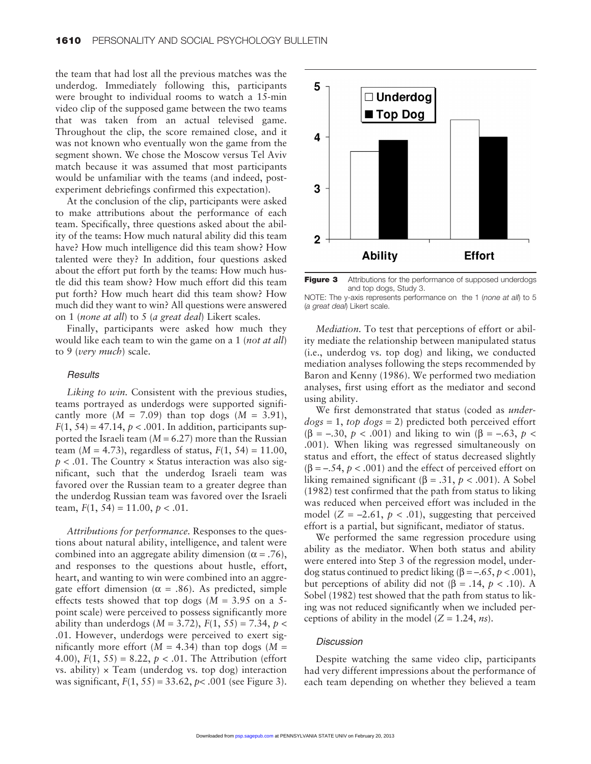the team that had lost all the previous matches was the underdog. Immediately following this, participants were brought to individual rooms to watch a 15-min video clip of the supposed game between the two teams that was taken from an actual televised game. Throughout the clip, the score remained close, and it was not known who eventually won the game from the segment shown. We chose the Moscow versus Tel Aviv match because it was assumed that most participants would be unfamiliar with the teams (and indeed, postexperiment debriefings confirmed this expectation).

At the conclusion of the clip, participants were asked to make attributions about the performance of each team. Specifically, three questions asked about the ability of the teams: How much natural ability did this team have? How much intelligence did this team show? How talented were they? In addition, four questions asked about the effort put forth by the teams: How much hustle did this team show? How much effort did this team put forth? How much heart did this team show? How much did they want to win? All questions were answered on 1 (*none at all*) to 5 (*a great deal*) Likert scales.

Finally, participants were asked how much they would like each team to win the game on a 1 (*not at all*) to 9 (*very much*) scale.

#### **Results**

*Liking to win.* Consistent with the previous studies, teams portrayed as underdogs were supported significantly more  $(M = 7.09)$  than top dogs  $(M = 3.91)$ ,  $F(1, 54) = 47.14$ ,  $p < .001$ . In addition, participants supported the Israeli team  $(M = 6.27)$  more than the Russian team (*M* = 4.73), regardless of status,  $F(1, 54) = 11.00$ ,  $p < .01$ . The Country  $\times$  Status interaction was also significant, such that the underdog Israeli team was favored over the Russian team to a greater degree than the underdog Russian team was favored over the Israeli team,  $F(1, 54) = 11.00, p < .01$ .

*Attributions for performance.* Responses to the questions about natural ability, intelligence, and talent were combined into an aggregate ability dimension ( $\alpha = .76$ ), and responses to the questions about hustle, effort, heart, and wanting to win were combined into an aggregate effort dimension ( $\alpha = .86$ ). As predicted, simple effects tests showed that top dogs (*M* = 3.95 on a 5 point scale) were perceived to possess significantly more ability than underdogs ( $M = 3.72$ ),  $F(1, 55) = 7.34$ ,  $p <$ .01. However, underdogs were perceived to exert significantly more effort  $(M = 4.34)$  than top dogs  $(M =$ 4.00),  $F(1, 55) = 8.22$ ,  $p < .01$ . The Attribution (effort vs. ability)  $\times$  Team (underdog vs. top dog) interaction was significant, *F*(1, 55) = 33.62, *p*< .001 (see Figure 3).



**Figure 3** Attributions for the performance of supposed underdogs and top dogs, Study 3.

| NOTE: The y-axis represents performance on the 1 (none at all) to 5 |  |  |
|---------------------------------------------------------------------|--|--|
| (a great deal) Likert scale.                                        |  |  |

*Mediation.* To test that perceptions of effort or ability mediate the relationship between manipulated status (i.e., underdog vs. top dog) and liking, we conducted mediation analyses following the steps recommended by Baron and Kenny (1986). We performed two mediation analyses, first using effort as the mediator and second using ability.

We first demonstrated that status (coded as *underdogs* = 1, *top dogs* = 2) predicted both perceived effort (β = –.30, *p* < .001) and liking to win (β = –.63, *p* < .001). When liking was regressed simultaneously on status and effort, the effect of status decreased slightly  $(\beta = -.54, p < .001)$  and the effect of perceived effort on liking remained significant (β = .31,  $p < .001$ ). A Sobel (1982) test confirmed that the path from status to liking was reduced when perceived effort was included in the model  $(Z = -2.61, p < .01)$ , suggesting that perceived effort is a partial, but significant, mediator of status.

We performed the same regression procedure using ability as the mediator. When both status and ability were entered into Step 3 of the regression model, underdog status continued to predict liking  $(β = -.65, p < .001)$ , but perceptions of ability did not (β = .14, *p* < .10). A Sobel (1982) test showed that the path from status to liking was not reduced significantly when we included perceptions of ability in the model  $(Z = 1.24, ns)$ .

## **Discussion**

Despite watching the same video clip, participants had very different impressions about the performance of each team depending on whether they believed a team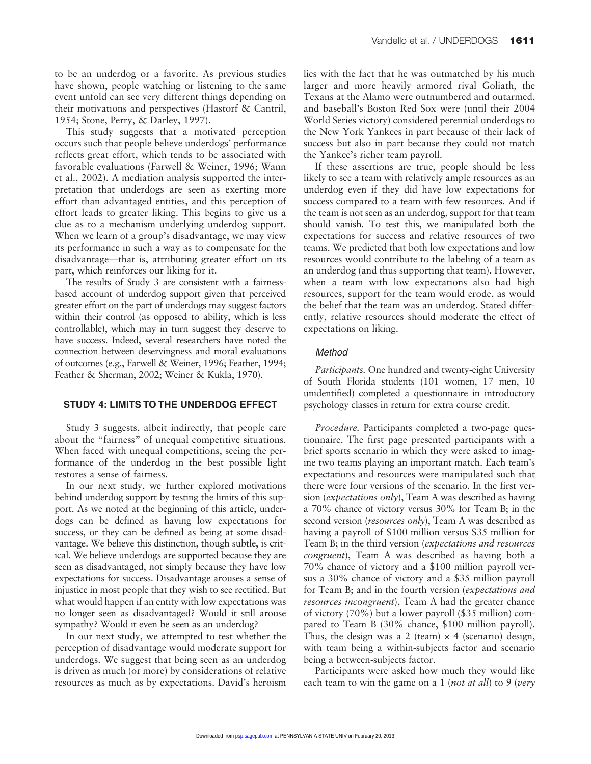to be an underdog or a favorite. As previous studies have shown, people watching or listening to the same event unfold can see very different things depending on their motivations and perspectives (Hastorf & Cantril, 1954; Stone, Perry, & Darley, 1997).

This study suggests that a motivated perception occurs such that people believe underdogs' performance reflects great effort, which tends to be associated with favorable evaluations (Farwell & Weiner, 1996; Wann et al., 2002). A mediation analysis supported the interpretation that underdogs are seen as exerting more effort than advantaged entities, and this perception of effort leads to greater liking. This begins to give us a clue as to a mechanism underlying underdog support. When we learn of a group's disadvantage, we may view its performance in such a way as to compensate for the disadvantage—that is, attributing greater effort on its part, which reinforces our liking for it.

The results of Study 3 are consistent with a fairnessbased account of underdog support given that perceived greater effort on the part of underdogs may suggest factors within their control (as opposed to ability, which is less controllable), which may in turn suggest they deserve to have success. Indeed, several researchers have noted the connection between deservingness and moral evaluations of outcomes (e.g., Farwell & Weiner, 1996; Feather, 1994; Feather & Sherman, 2002; Weiner & Kukla, 1970).

#### **STUDY 4: LIMITS TO THE UNDERDOG EFFECT**

Study 3 suggests, albeit indirectly, that people care about the "fairness" of unequal competitive situations. When faced with unequal competitions, seeing the performance of the underdog in the best possible light restores a sense of fairness.

In our next study, we further explored motivations behind underdog support by testing the limits of this support. As we noted at the beginning of this article, underdogs can be defined as having low expectations for success, or they can be defined as being at some disadvantage. We believe this distinction, though subtle, is critical. We believe underdogs are supported because they are seen as disadvantaged, not simply because they have low expectations for success. Disadvantage arouses a sense of injustice in most people that they wish to see rectified. But what would happen if an entity with low expectations was no longer seen as disadvantaged? Would it still arouse sympathy? Would it even be seen as an underdog?

In our next study, we attempted to test whether the perception of disadvantage would moderate support for underdogs. We suggest that being seen as an underdog is driven as much (or more) by considerations of relative resources as much as by expectations. David's heroism lies with the fact that he was outmatched by his much larger and more heavily armored rival Goliath, the Texans at the Alamo were outnumbered and outarmed, and baseball's Boston Red Sox were (until their 2004 World Series victory) considered perennial underdogs to the New York Yankees in part because of their lack of success but also in part because they could not match the Yankee's richer team payroll.

If these assertions are true, people should be less likely to see a team with relatively ample resources as an underdog even if they did have low expectations for success compared to a team with few resources. And if the team is not seen as an underdog, support for that team should vanish. To test this, we manipulated both the expectations for success and relative resources of two teams. We predicted that both low expectations and low resources would contribute to the labeling of a team as an underdog (and thus supporting that team). However, when a team with low expectations also had high resources, support for the team would erode, as would the belief that the team was an underdog. Stated differently, relative resources should moderate the effect of expectations on liking.

#### **Method**

*Participants.* One hundred and twenty-eight University of South Florida students (101 women, 17 men, 10 unidentified) completed a questionnaire in introductory psychology classes in return for extra course credit.

*Procedure.* Participants completed a two-page questionnaire. The first page presented participants with a brief sports scenario in which they were asked to imagine two teams playing an important match. Each team's expectations and resources were manipulated such that there were four versions of the scenario. In the first version (*expectations only*), Team A was described as having a 70% chance of victory versus 30% for Team B; in the second version (*resources only*), Team A was described as having a payroll of \$100 million versus \$35 million for Team B; in the third version (*expectations and resources congruent*), Team A was described as having both a 70% chance of victory and a \$100 million payroll versus a 30% chance of victory and a \$35 million payroll for Team B; and in the fourth version (*expectations and resources incongruent*), Team A had the greater chance of victory (70%) but a lower payroll (\$35 million) compared to Team B (30% chance, \$100 million payroll). Thus, the design was a 2 (team)  $\times$  4 (scenario) design, with team being a within-subjects factor and scenario being a between-subjects factor.

Participants were asked how much they would like each team to win the game on a 1 (*not at all*) to 9 (*very*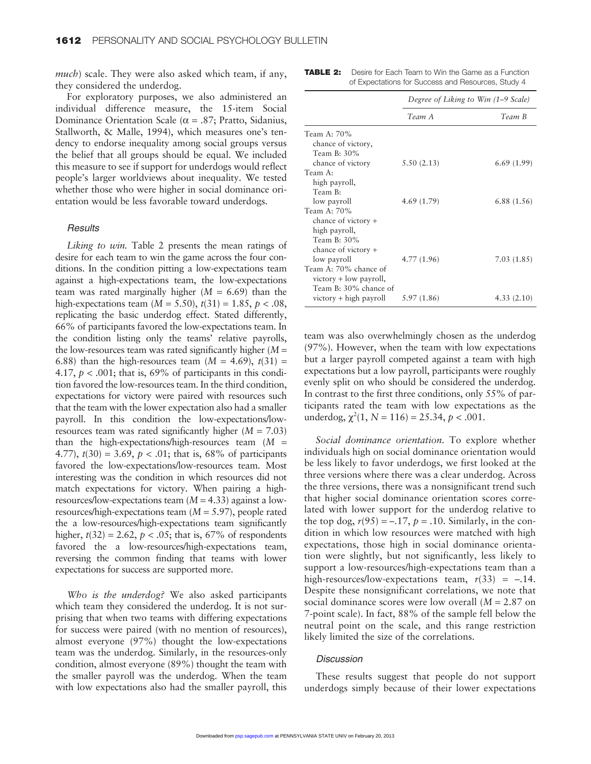*much*) scale. They were also asked which team, if any, they considered the underdog.

For exploratory purposes, we also administered an individual difference measure, the 15-item Social Dominance Orientation Scale ( $\alpha$  = .87; Pratto, Sidanius, Stallworth, & Malle, 1994), which measures one's tendency to endorse inequality among social groups versus the belief that all groups should be equal. We included this measure to see if support for underdogs would reflect people's larger worldviews about inequality. We tested whether those who were higher in social dominance orientation would be less favorable toward underdogs.

#### **Results**

*Liking to win.* Table 2 presents the mean ratings of desire for each team to win the game across the four conditions. In the condition pitting a low-expectations team against a high-expectations team, the low-expectations team was rated marginally higher  $(M = 6.69)$  than the high-expectations team  $(M = 5.50)$ ,  $t(31) = 1.85$ ,  $p < .08$ , replicating the basic underdog effect. Stated differently, 66% of participants favored the low-expectations team. In the condition listing only the teams' relative payrolls, the low-resources team was rated significantly higher (*M* = 6.88) than the high-resources team  $(M = 4.69)$ ,  $t(31) =$ 4.17,  $p < .001$ ; that is, 69% of participants in this condition favored the low-resources team. In the third condition, expectations for victory were paired with resources such that the team with the lower expectation also had a smaller payroll. In this condition the low-expectations/lowresources team was rated significantly higher (*M* = 7.03) than the high-expectations/high-resources team  $(M =$ 4.77),  $t(30) = 3.69$ ,  $p < .01$ ; that is, 68% of participants favored the low-expectations/low-resources team. Most interesting was the condition in which resources did not match expectations for victory. When pairing a highresources/low-expectations team (*M* = 4.33) against a lowresources/high-expectations team (*M* = 5.97), people rated the a low-resources/high-expectations team significantly higher,  $t(32) = 2.62$ ,  $p < .05$ ; that is, 67% of respondents favored the a low-resources/high-expectations team, reversing the common finding that teams with lower expectations for success are supported more.

*Who is the underdog?* We also asked participants which team they considered the underdog. It is not surprising that when two teams with differing expectations for success were paired (with no mention of resources), almost everyone (97%) thought the low-expectations team was the underdog. Similarly, in the resources-only condition, almost everyone (89%) thought the team with the smaller payroll was the underdog. When the team with low expectations also had the smaller payroll, this

**TABLE 2:** Desire for Each Team to Win the Game as a Function of Expectations for Success and Resources, Study 4

|                          | Degree of Liking to Win (1–9 Scale) |             |  |
|--------------------------|-------------------------------------|-------------|--|
|                          | Team A                              | Team B      |  |
| Team A: 70%              |                                     |             |  |
| chance of victory,       |                                     |             |  |
| Team B: $30\%$           |                                     |             |  |
| chance of victory        | 5.50(2.13)                          | 6.69(1.99)  |  |
| Team A:                  |                                     |             |  |
| high payroll,            |                                     |             |  |
| Team B:                  |                                     |             |  |
| low payroll              | 4.69(1.79)                          | 6.88 (1.56) |  |
| Team A: 70%              |                                     |             |  |
| chance of victory +      |                                     |             |  |
| high payroll,            |                                     |             |  |
| Team B: 30%              |                                     |             |  |
| chance of victory +      |                                     |             |  |
| low payroll              | 4.77(1.96)                          | 7.03 (1.85) |  |
| Team A: 70% chance of    |                                     |             |  |
| $victory + low$ payroll, |                                     |             |  |
| Team B: 30% chance of    |                                     |             |  |
| $victory + high$ payroll | 5.97 (1.86)                         | 4.33(2.10)  |  |

team was also overwhelmingly chosen as the underdog (97%). However, when the team with low expectations but a larger payroll competed against a team with high expectations but a low payroll, participants were roughly evenly split on who should be considered the underdog. In contrast to the first three conditions, only 55% of participants rated the team with low expectations as the underdog,  $\chi^2(1, N = 116) = 25.34, p < .001$ .

*Social dominance orientation.* To explore whether individuals high on social dominance orientation would be less likely to favor underdogs, we first looked at the three versions where there was a clear underdog. Across the three versions, there was a nonsignificant trend such that higher social dominance orientation scores correlated with lower support for the underdog relative to the top dog,  $r(95) = -.17$ ,  $p = .10$ . Similarly, in the condition in which low resources were matched with high expectations, those high in social dominance orientation were slightly, but not significantly, less likely to support a low-resources/high-expectations team than a high-resources/low-expectations team,  $r(33) = -.14$ . Despite these nonsignificant correlations, we note that social dominance scores were low overall (*M* = 2.87 on 7-point scale). In fact, 88% of the sample fell below the neutral point on the scale, and this range restriction likely limited the size of the correlations.

### **Discussion**

These results suggest that people do not support underdogs simply because of their lower expectations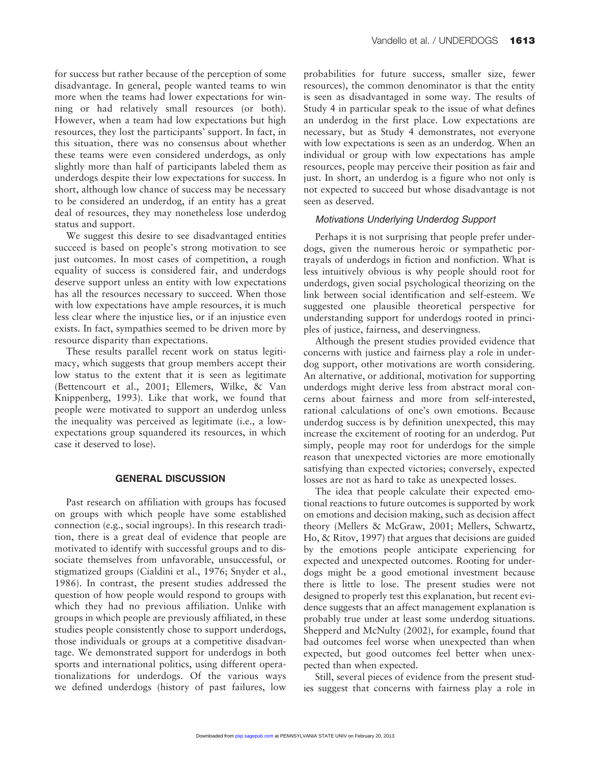for success but rather because of the perception of some disadvantage. In general, people wanted teams to win more when the teams had lower expectations for winning or had relatively small resources (or both). However, when a team had low expectations but high resources, they lost the participants' support. In fact, in this situation, there was no consensus about whether these teams were even considered underdogs, as only slightly more than half of participants labeled them as underdogs despite their low expectations for success. In short, although low chance of success may be necessary to be considered an underdog, if an entity has a great deal of resources, they may nonetheless lose underdog status and support.

We suggest this desire to see disadvantaged entities succeed is based on people's strong motivation to see just outcomes. In most cases of competition, a rough equality of success is considered fair, and underdogs deserve support unless an entity with low expectations has all the resources necessary to succeed. When those with low expectations have ample resources, it is much less clear where the injustice lies, or if an injustice even exists. In fact, sympathies seemed to be driven more by resource disparity than expectations.

These results parallel recent work on status legitimacy, which suggests that group members accept their low status to the extent that it is seen as legitimate (Bettencourt et al., 2001; Ellemers, Wilke, & Van Knippenberg, 1993). Like that work, we found that people were motivated to support an underdog unless the inequality was perceived as legitimate (i.e., a lowexpectations group squandered its resources, in which case it deserved to lose).

# **GENERAL DISCUSSION**

Past research on affiliation with groups has focused on groups with which people have some established connection (e.g., social ingroups). In this research tradition, there is a great deal of evidence that people are motivated to identify with successful groups and to dissociate themselves from unfavorable, unsuccessful, or stigmatized groups (Cialdini et al., 1976; Snyder et al., 1986). In contrast, the present studies addressed the question of how people would respond to groups with which they had no previous affiliation. Unlike with groups in which people are previously affiliated, in these studies people consistently chose to support underdogs, those individuals or groups at a competitive disadvantage. We demonstrated support for underdogs in both sports and international politics, using different operationalizations for underdogs. Of the various ways we defined underdogs (history of past failures, low

probabilities for future success, smaller size, fewer resources), the common denominator is that the entity is seen as disadvantaged in some way. The results of Study 4 in particular speak to the issue of what defines an underdog in the first place. Low expectations are necessary, but as Study 4 demonstrates, not everyone with low expectations is seen as an underdog. When an individual or group with low expectations has ample resources, people may perceive their position as fair and just. In short, an underdog is a figure who not only is not expected to succeed but whose disadvantage is not seen as deserved.

# Motivations Underlying Underdog Support

Perhaps it is not surprising that people prefer underdogs, given the numerous heroic or sympathetic portrayals of underdogs in fiction and nonfiction. What is less intuitively obvious is why people should root for underdogs, given social psychological theorizing on the link between social identification and self-esteem. We suggested one plausible theoretical perspective for understanding support for underdogs rooted in principles of justice, fairness, and deservingness.

Although the present studies provided evidence that concerns with justice and fairness play a role in underdog support, other motivations are worth considering. An alternative, or additional, motivation for supporting underdogs might derive less from abstract moral concerns about fairness and more from self-interested, rational calculations of one's own emotions. Because underdog success is by definition unexpected, this may increase the excitement of rooting for an underdog. Put simply, people may root for underdogs for the simple reason that unexpected victories are more emotionally satisfying than expected victories; conversely, expected losses are not as hard to take as unexpected losses.

The idea that people calculate their expected emotional reactions to future outcomes is supported by work on emotions and decision making, such as decision affect theory (Mellers & McGraw, 2001; Mellers, Schwartz, Ho, & Ritov, 1997) that argues that decisions are guided by the emotions people anticipate experiencing for expected and unexpected outcomes. Rooting for underdogs might be a good emotional investment because there is little to lose. The present studies were not designed to properly test this explanation, but recent evidence suggests that an affect management explanation is probably true under at least some underdog situations. Shepperd and McNulty (2002), for example, found that bad outcomes feel worse when unexpected than when expected, but good outcomes feel better when unexpected than when expected.

Still, several pieces of evidence from the present studies suggest that concerns with fairness play a role in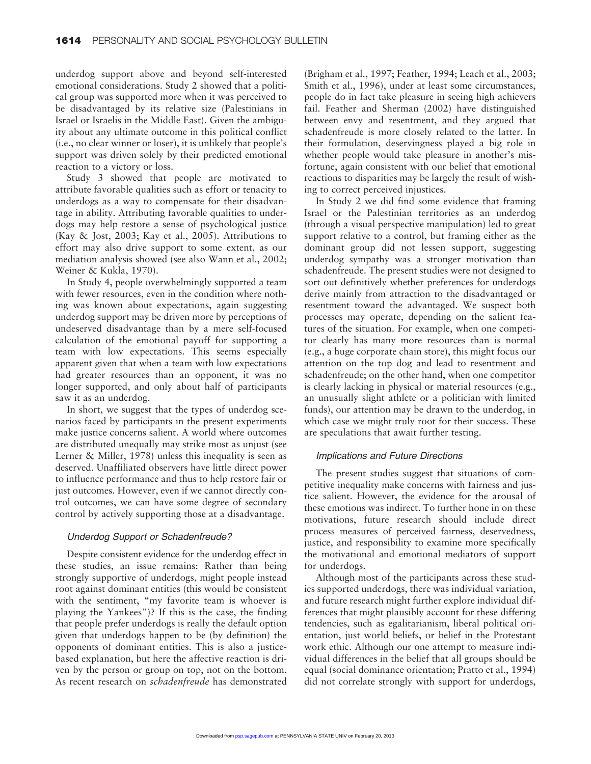underdog support above and beyond self-interested emotional considerations. Study 2 showed that a political group was supported more when it was perceived to be disadvantaged by its relative size (Palestinians in Israel or Israelis in the Middle East). Given the ambiguity about any ultimate outcome in this political conflict (i.e., no clear winner or loser), it is unlikely that people's support was driven solely by their predicted emotional reaction to a victory or loss.

Study 3 showed that people are motivated to attribute favorable qualities such as effort or tenacity to underdogs as a way to compensate for their disadvantage in ability. Attributing favorable qualities to underdogs may help restore a sense of psychological justice (Kay & Jost, 2003; Kay et al., 2005). Attributions to effort may also drive support to some extent, as our mediation analysis showed (see also Wann et al., 2002; Weiner & Kukla, 1970).

In Study 4, people overwhelmingly supported a team with fewer resources, even in the condition where nothing was known about expectations, again suggesting underdog support may be driven more by perceptions of undeserved disadvantage than by a mere self-focused calculation of the emotional payoff for supporting a team with low expectations. This seems especially apparent given that when a team with low expectations had greater resources than an opponent, it was no longer supported, and only about half of participants saw it as an underdog.

In short, we suggest that the types of underdog scenarios faced by participants in the present experiments make justice concerns salient. A world where outcomes are distributed unequally may strike most as unjust (see Lerner & Miller, 1978) unless this inequality is seen as deserved. Unaffiliated observers have little direct power to influence performance and thus to help restore fair or just outcomes. However, even if we cannot directly control outcomes, we can have some degree of secondary control by actively supporting those at a disadvantage.

### Underdog Support or Schadenfreude?

Despite consistent evidence for the underdog effect in these studies, an issue remains: Rather than being strongly supportive of underdogs, might people instead root against dominant entities (this would be consistent with the sentiment, "my favorite team is whoever is playing the Yankees")? If this is the case, the finding that people prefer underdogs is really the default option given that underdogs happen to be (by definition) the opponents of dominant entities. This is also a justicebased explanation, but here the affective reaction is driven by the person or group on top, not on the bottom. As recent research on *schadenfreude* has demonstrated

(Brigham et al., 1997; Feather, 1994; Leach et al., 2003; Smith et al., 1996), under at least some circumstances, people do in fact take pleasure in seeing high achievers fail. Feather and Sherman (2002) have distinguished between envy and resentment, and they argued that schadenfreude is more closely related to the latter. In their formulation, deservingness played a big role in whether people would take pleasure in another's misfortune, again consistent with our belief that emotional reactions to disparities may be largely the result of wishing to correct perceived injustices.

In Study 2 we did find some evidence that framing Israel or the Palestinian territories as an underdog (through a visual perspective manipulation) led to great support relative to a control, but framing either as the dominant group did not lessen support, suggesting underdog sympathy was a stronger motivation than schadenfreude. The present studies were not designed to sort out definitively whether preferences for underdogs derive mainly from attraction to the disadvantaged or resentment toward the advantaged. We suspect both processes may operate, depending on the salient features of the situation. For example, when one competitor clearly has many more resources than is normal (e.g., a huge corporate chain store), this might focus our attention on the top dog and lead to resentment and schadenfreude; on the other hand, when one competitor is clearly lacking in physical or material resources (e.g., an unusually slight athlete or a politician with limited funds), our attention may be drawn to the underdog, in which case we might truly root for their success. These are speculations that await further testing.

# Implications and Future Directions

The present studies suggest that situations of competitive inequality make concerns with fairness and justice salient. However, the evidence for the arousal of these emotions was indirect. To further hone in on these motivations, future research should include direct process measures of perceived fairness, deservedness, justice, and responsibility to examine more specifically the motivational and emotional mediators of support for underdogs.

Although most of the participants across these studies supported underdogs, there was individual variation, and future research might further explore individual differences that might plausibly account for these differing tendencies, such as egalitarianism, liberal political orientation, just world beliefs, or belief in the Protestant work ethic. Although our one attempt to measure individual differences in the belief that all groups should be equal (social dominance orientation; Pratto et al., 1994) did not correlate strongly with support for underdogs,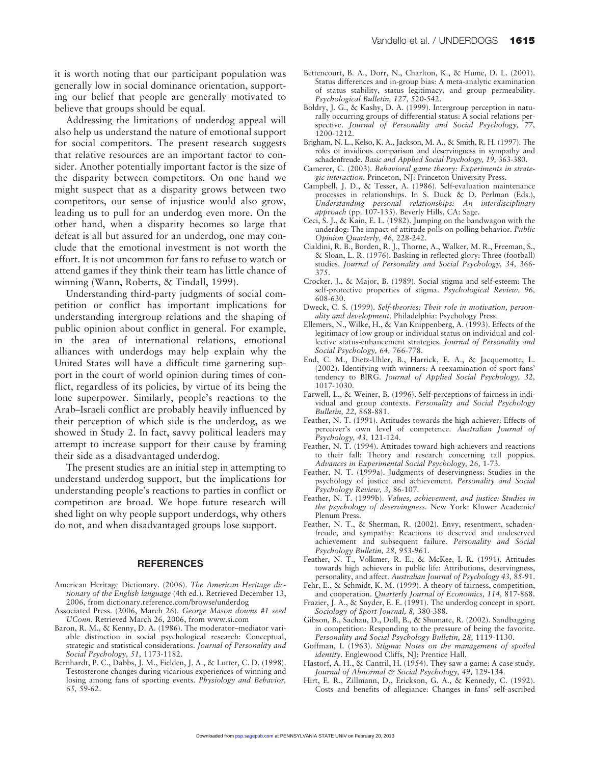it is worth noting that our participant population was generally low in social dominance orientation, supporting our belief that people are generally motivated to believe that groups should be equal.

Addressing the limitations of underdog appeal will also help us understand the nature of emotional support for social competitors. The present research suggests that relative resources are an important factor to consider. Another potentially important factor is the size of the disparity between competitors. On one hand we might suspect that as a disparity grows between two competitors, our sense of injustice would also grow, leading us to pull for an underdog even more. On the other hand, when a disparity becomes so large that defeat is all but assured for an underdog, one may conclude that the emotional investment is not worth the effort. It is not uncommon for fans to refuse to watch or attend games if they think their team has little chance of winning (Wann, Roberts, & Tindall, 1999).

Understanding third-party judgments of social competition or conflict has important implications for understanding intergroup relations and the shaping of public opinion about conflict in general. For example, in the area of international relations, emotional alliances with underdogs may help explain why the United States will have a difficult time garnering support in the court of world opinion during times of conflict, regardless of its policies, by virtue of its being the lone superpower. Similarly, people's reactions to the Arab–Israeli conflict are probably heavily influenced by their perception of which side is the underdog, as we showed in Study 2. In fact, savvy political leaders may attempt to increase support for their cause by framing their side as a disadvantaged underdog.

The present studies are an initial step in attempting to understand underdog support, but the implications for understanding people's reactions to parties in conflict or competition are broad. We hope future research will shed light on why people support underdogs, why others do not, and when disadvantaged groups lose support.

#### **REFERENCES**

- American Heritage Dictionary. (2006). *The American Heritage dictionary of the English language* (4th ed.). Retrieved December 13, 2006, from dictionary.reference.com/browse/underdog
- Associated Press. (2006, March 26). *George Mason downs #1 seed UConn*. Retrieved March 26, 2006, from www.si.com
- Baron, R. M., & Kenny, D. A. (1986). The moderator–mediator variable distinction in social psychological research: Conceptual, strategic and statistical considerations. *Journal of Personality and Social Psychology, 51,* 1173-1182.
- Bernhardt, P. C., Dabbs, J. M., Fielden, J. A., & Lutter, C. D. (1998). Testosterone changes during vicarious experiences of winning and losing among fans of sporting events. *Physiology and Behavior, 65,* 59-62.
- Bettencourt, B. A., Dorr, N., Charlton, K., & Hume, D. L. (2001). Status differences and in-group bias: A meta-analytic examination of status stability, status legitimacy, and group permeability. *Psychological Bulletin, 127,* 520-542.
- Boldry, J. G., & Kashy, D. A. (1999). Intergroup perception in naturally occurring groups of differential status: A social relations perspective. *Journal of Personality and Social Psychology, 77,* 1200-1212.
- Brigham, N. L., Kelso, K. A., Jackson, M. A., & Smith, R. H. (1997). The roles of invidious comparison and deservingness in sympathy and schadenfreude. *Basic and Applied Social Psychology, 19,* 363-380.
- Camerer, C. (2003). *Behavioral game theory: Experiments in strategic interaction.* Princeton, NJ: Princeton University Press.
- Campbell, J. D., & Tesser, A. (1986). Self-evaluation maintenance processes in relationships. In S. Duck & D. Perlman (Eds.), *Understanding personal relationships: An interdisciplinary approach* (pp. 107-135). Beverly Hills, CA: Sage.
- Ceci, S. J., & Kain, E. L. (1982). Jumping on the bandwagon with the underdog: The impact of attitude polls on polling behavior. *Public Opinion Quarterly, 46,* 228-242.
- Cialdini, R. B., Borden, R. J., Thorne, A., Walker, M. R., Freeman, S., & Sloan, L. R. (1976). Basking in reflected glory: Three (football) studies. *Journal of Personality and Social Psychology, 34,* 366- 375.
- Crocker, J., & Major, B. (1989). Social stigma and self-esteem: The self-protective properties of stigma. *Psychological Review, 96,* 608-630.
- Dweck, C. S. (1999). *Self-theories: Their role in motivation, personality and development*. Philadelphia: Psychology Press.
- Ellemers, N., Wilke, H., & Van Knippenberg, A. (1993). Effects of the legitimacy of low group or individual status on individual and collective status-enhancement strategies. *Journal of Personality and Social Psychology, 64,* 766-778.
- End, C. M., Dietz-Uhler, B., Harrick, E. A., & Jacquemotte, L. (2002). Identifying with winners: A reexamination of sport fans' tendency to BIRG. *Journal of Applied Social Psychology, 32,* 1017-1030.
- Farwell, L., & Weiner, B. (1996). Self-perceptions of fairness in individual and group contexts. *Personality and Social Psychology Bulletin, 22,* 868-881.
- Feather, N. T. (1991). Attitudes towards the high achiever: Effects of perceiver's own level of competence. *Australian Journal of Psychology, 43,* 121-124.
- Feather, N. T. (1994). Attitudes toward high achievers and reactions to their fall: Theory and research concerning tall poppies. *Advances in Experimental Social Psychology, 26,* 1-73*.*
- Feather, N. T. (1999a). Judgments of deservingness: Studies in the psychology of justice and achievement. *Personality and Social Psychology Review, 3,* 86-107.
- Feather, N. T. (1999b). *Values, achievement, and justice: Studies in the psychology of deservingness.* New York: Kluwer Academic/ Plenum Press.
- Feather, N. T., & Sherman, R. (2002). Envy, resentment, schadenfreude, and sympathy: Reactions to deserved and undeserved achievement and subsequent failure. *Personality and Social Psychology Bulletin, 28,* 953-961.
- Feather, N. T., Volkmer, R. E., & McKee, I. R. (1991). Attitudes towards high achievers in public life: Attributions, deservingness, personality, and affect. *Australian Journal of Psychology 43,* 85-91.
- Fehr, E., & Schmidt, K. M. (1999). A theory of fairness, competition, and cooperation. *Quarterly Journal of Economics, 114,* 817-868.
- Frazier, J. A., & Snyder, E. E. (1991). The underdog concept in sport. *Sociology of Sport Journal, 8,* 380-388.
- Gibson, B., Sachau, D., Doll, B., & Shumate, R. (2002). Sandbagging in competition: Responding to the pressure of being the favorite. *Personality and Social Psychology Bulletin, 28,* 1119-1130.
- Goffman, I. (1963). *Stigma: Notes on the management of spoiled identity*. Englewood Cliffs, NJ: Prentice Hall.
- Hastorf, A. H., & Cantril, H. (1954). They saw a game: A case study. *Journal of Abnormal & Social Psychology, 49,* 129-134.
- Hirt, E. R., Zillmann, D., Erickson, G. A., & Kennedy, C. (1992). Costs and benefits of allegiance: Changes in fans' self-ascribed